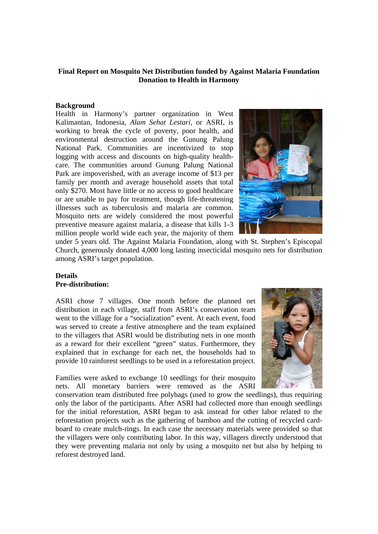## **Final Report on Mosquito Net Distribution funded by Against Malaria Foundation Donation to Health in Harmony**

#### **Background**

Health in Harmony's partner organization in West Kalimantan, Indonesia, *Alam Sehat Lestari*, or ASRI, is working to break the cycle of poverty, poor health, and environmental destruction around the Gunung Palung National Park. Communities are incentivized to stop logging with access and discounts on high-quality healthcare. The communities around Gunung Palung National Park are impoverished, with an average income of \$13 per family per month and average household assets that total only \$270. Most have little or no access to good healthcare or are unable to pay for treatment, though life-threatening illnesses such as tuberculosis and malaria are common. Mosquito nets are widely considered the most powerful preventive measure against malaria, a disease that kills 1-3 million people world wide each year, the majority of them



under 5 years old. The Against Malaria Foundation, along with St. Stephen's Episcopal Church, generously donated 4,000 long lasting insecticidal mosquito nets for distribution among ASRI's target population.

### **Details Pre-distribution:**

ASRI chose 7 villages. One month before the planned net distribution in each village, staff from ASRI's conservation team went to the village for a "socialization" event. At each event, food was served to create a festive atmosphere and the team explained to the villagers that ASRI would be distributing nets in one month as a reward for their excellent "green" status. Furthermore, they explained that in exchange for each net, the households had to provide 10 rainforest seedlings to be used in a reforestation project.

Families were asked to exchange 10 seedlings for their mosquito nets. All monetary barriers were removed as the ASRI



conservation team distributed free polybags (used to grow the seedlings), thus requiring only the labor of the participants. After ASRI had collected more than enough seedlings for the initial reforestation, ASRI began to ask instead for other labor related to the reforestation projects such as the gathering of bamboo and the cutting of recycled cardboard to create mulch-rings. In each case the necessary materials were provided so that the villagers were only contributing labor. In this way, villagers directly understood that they were preventing malaria not only by using a mosquito net but also by helping to reforest destroyed land.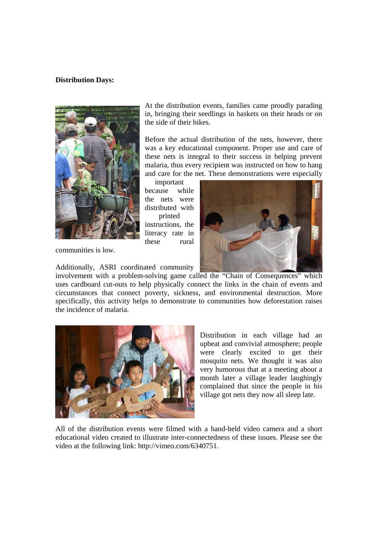#### **Distribution Days:**



communities is low.

the incidence of malaria.

At the distribution events, families came proudly parading in, bringing their seedlings in baskets on their heads or on the side of their bikes.

Before the actual distribution of the nets, however, there was a key educational component. Proper use and care of these nets is integral to their success in helping prevent malaria, thus every recipient was instructed on how to hang and care for the net. These demonstrations were especially

important because while the nets were distributed with printed instructions, the literacy rate in these rural



Additionally, ASRI coordinated community involvement with a problem-solving game called the "Chain of Consequences" which uses cardboard cut-outs to help physically connect the links in the chain of events and circumstances that connect poverty, sickness, and environmental destruction. More specifically, this activity helps to demonstrate to communities how deforestation raises



Distribution in each village had an upbeat and convivial atmosphere; people were clearly excited to get their mosquito nets. We thought it was also very humorous that at a meeting about a month later a village leader laughingly complained that since the people in his village got nets they now all sleep late.

All of the distribution events were filmed with a hand-held video camera and a short educational video created to illustrate inter-connectedness of these issues. Please see the video at the following link: http://vimeo.com/6340751.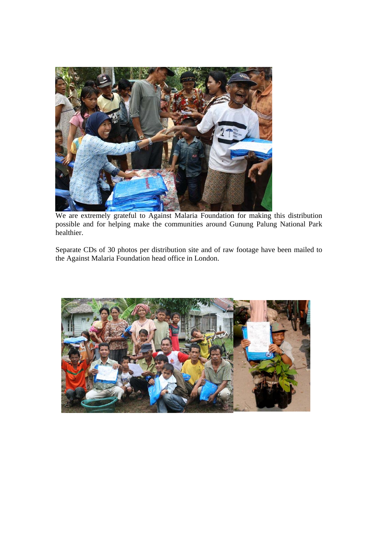

We are extremely grateful to Against Malaria Foundation for making this distribution possible and for helping make the communities around Gunung Palung National Park healthier.

Separate CDs of 30 photos per distribution site and of raw footage have been mailed to the Against Malaria Foundation head office in London.

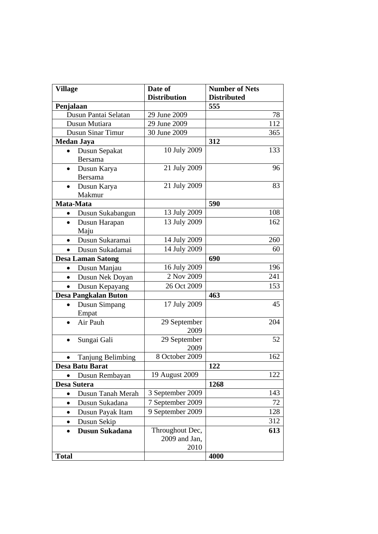| <b>Village</b>               | Date of<br><b>Distribution</b> | <b>Number of Nets</b><br><b>Distributed</b> |
|------------------------------|--------------------------------|---------------------------------------------|
| Penjalaan                    |                                | 555                                         |
| Dusun Pantai Selatan         | 29 June 2009                   | 78                                          |
| Dusun Mutiara                | 29 June 2009                   | 112                                         |
| <b>Dusun Sinar Timur</b>     | 30 June 2009                   | 365                                         |
| <b>Medan Jaya</b>            |                                | 312                                         |
| Dusun Sepakat                | 10 July 2009                   | 133                                         |
| <b>Bersama</b>               |                                |                                             |
| Dusun Karya<br>$\bullet$     | 21 July 2009                   | 96                                          |
| Bersama                      |                                |                                             |
| Dusun Karya<br>$\bullet$     | 21 July 2009                   | 83                                          |
| Makmur                       |                                |                                             |
| Mata-Mata                    |                                | 590                                         |
| Dusun Sukabangun             | 13 July 2009                   | 108                                         |
| Dusun Harapan<br>$\bullet$   | 13 July 2009                   | 162                                         |
| Maju                         |                                |                                             |
| Dusun Sukaramai<br>$\bullet$ | 14 July 2009                   | 260                                         |
| Dusun Sukadamai              | 14 July 2009                   | 60                                          |
| <b>Desa Laman Satong</b>     |                                | 690                                         |
| Dusun Manjau<br>$\bullet$    | 16 July 2009                   | 196                                         |
| Dusun Nek Doyan<br>$\bullet$ | 2 Nov 2009                     | 241                                         |
| Dusun Kepayang<br>$\bullet$  | 26 Oct 2009                    | 153                                         |
| <b>Desa Pangkalan Buton</b>  |                                | 463                                         |
| Dusun Simpang<br>$\bullet$   | 17 July 2009                   | 45                                          |
| Empat                        |                                |                                             |
| Air Pauh                     | 29 September                   | 204                                         |
|                              | 2009                           |                                             |
| Sungai Gali                  | 29 September                   | 52                                          |
|                              | 2009                           |                                             |
| <b>Tanjung Belimbing</b>     | 8 October 2009                 | 162                                         |
| Desa Batu Barat              |                                | 122                                         |
| Dusun Rembayan<br>$\bullet$  | 19 August 2009                 | 122                                         |
| Desa Sutera                  |                                | 1268                                        |
| Dusun Tanah Merah            | 3 September 2009               | 143                                         |
| Dusun Sukadana<br>$\bullet$  | 7 September 2009               | 72                                          |
| Dusun Payak Itam             | 9 September 2009               | 128                                         |
| Dusun Sekip                  |                                | 312                                         |
| Dusun Sukadana               | Throughout Dec,                | 613                                         |
|                              | 2009 and Jan,                  |                                             |
|                              | 2010                           |                                             |
| <b>Total</b>                 |                                | 4000                                        |